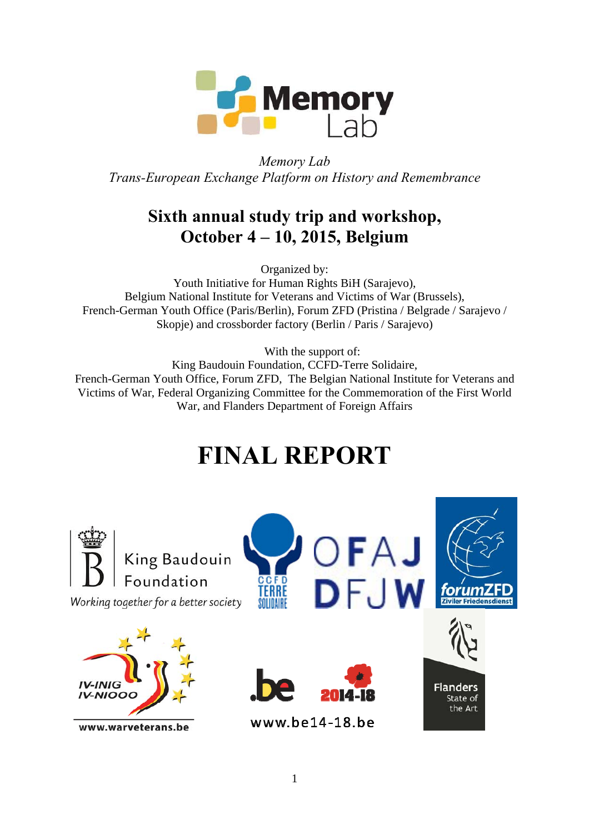

*Memory Lab Trans-European Exchange Platform on History and Remembrance* 

### **Sixth annual study trip and workshop, October 4 – 10, 2015, Belgium**

Organized by:

Youth Initiative for Human Rights BiH (Sarajevo), Belgium National Institute for Veterans and Victims of War (Brussels), French-German Youth Office (Paris/Berlin), Forum ZFD (Pristina / Belgrade / Sarajevo / Skopje) and crossborder factory (Berlin / Paris / Sarajevo)

With the support of:

King Baudouin Foundation, CCFD-Terre Solidaire, French-German Youth Office, Forum ZFD, The Belgian National Institute for Veterans and Victims of War, Federal Organizing Committee for the Commemoration of the First World War, and Flanders Department of Foreign Affairs

# **FINAL REPORT**

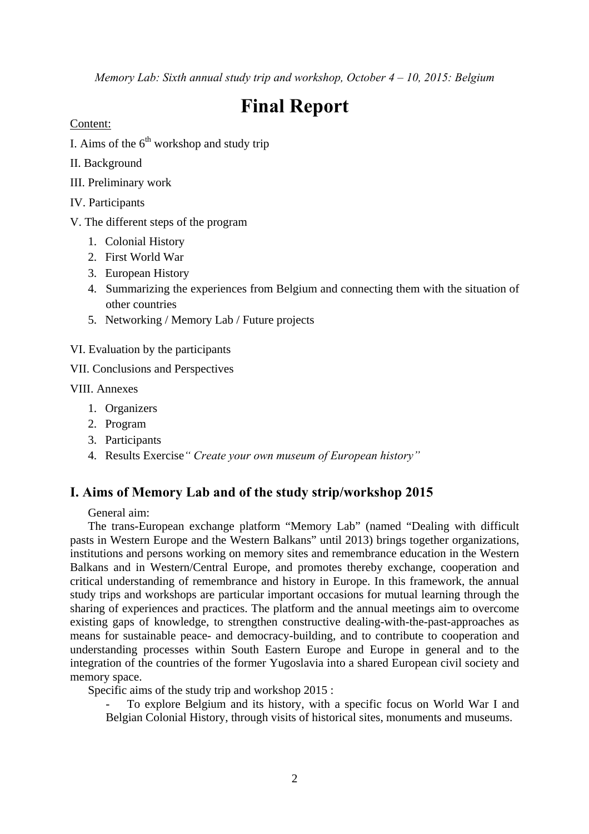*Memory Lab: Sixth annual study trip and workshop, October 4 – 10, 2015: Belgium* 

## **Final Report**

Content:

- I. Aims of the  $6<sup>th</sup>$  workshop and study trip
- II. Background
- III. Preliminary work
- IV. Participants
- V. The different steps of the program
	- 1. Colonial History
	- 2. First World War
	- 3. European History
	- 4. Summarizing the experiences from Belgium and connecting them with the situation of other countries
	- 5. Networking / Memory Lab / Future projects
- VI. Evaluation by the participants
- VII. Conclusions and Perspectives

VIII. Annexes

- 1. Organizers
- 2. Program
- 3. Participants
- 4. Results Exercise*" Create your own museum of European history"*

#### **I. Aims of Memory Lab and of the study strip/workshop 2015**

General aim:

The trans-European exchange platform "Memory Lab" (named "Dealing with difficult pasts in Western Europe and the Western Balkans" until 2013) brings together organizations, institutions and persons working on memory sites and remembrance education in the Western Balkans and in Western/Central Europe, and promotes thereby exchange, cooperation and critical understanding of remembrance and history in Europe. In this framework, the annual study trips and workshops are particular important occasions for mutual learning through the sharing of experiences and practices. The platform and the annual meetings aim to overcome existing gaps of knowledge, to strengthen constructive dealing-with-the-past-approaches as means for sustainable peace- and democracy-building, and to contribute to cooperation and understanding processes within South Eastern Europe and Europe in general and to the integration of the countries of the former Yugoslavia into a shared European civil society and memory space.

Specific aims of the study trip and workshop 2015 :

- To explore Belgium and its history, with a specific focus on World War I and Belgian Colonial History, through visits of historical sites, monuments and museums.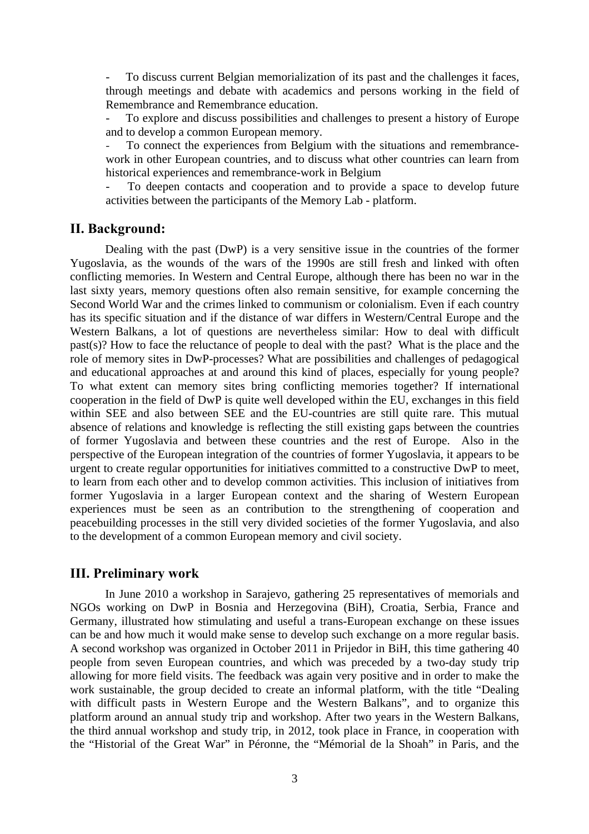- To discuss current Belgian memorialization of its past and the challenges it faces, through meetings and debate with academics and persons working in the field of Remembrance and Remembrance education.

- To explore and discuss possibilities and challenges to present a history of Europe and to develop a common European memory.

*-* To connect the experiences from Belgium with the situations and remembrancework in other European countries, and to discuss what other countries can learn from historical experiences and remembrance-work in Belgium

- To deepen contacts and cooperation and to provide a space to develop future activities between the participants of the Memory Lab - platform.

#### **II. Background:**

Dealing with the past (DwP) is a very sensitive issue in the countries of the former Yugoslavia, as the wounds of the wars of the 1990s are still fresh and linked with often conflicting memories. In Western and Central Europe, although there has been no war in the last sixty years, memory questions often also remain sensitive, for example concerning the Second World War and the crimes linked to communism or colonialism. Even if each country has its specific situation and if the distance of war differs in Western/Central Europe and the Western Balkans, a lot of questions are nevertheless similar: How to deal with difficult past(s)? How to face the reluctance of people to deal with the past? What is the place and the role of memory sites in DwP-processes? What are possibilities and challenges of pedagogical and educational approaches at and around this kind of places, especially for young people? To what extent can memory sites bring conflicting memories together? If international cooperation in the field of DwP is quite well developed within the EU, exchanges in this field within SEE and also between SEE and the EU-countries are still quite rare. This mutual absence of relations and knowledge is reflecting the still existing gaps between the countries of former Yugoslavia and between these countries and the rest of Europe. Also in the perspective of the European integration of the countries of former Yugoslavia, it appears to be urgent to create regular opportunities for initiatives committed to a constructive DwP to meet, to learn from each other and to develop common activities. This inclusion of initiatives from former Yugoslavia in a larger European context and the sharing of Western European experiences must be seen as an contribution to the strengthening of cooperation and peacebuilding processes in the still very divided societies of the former Yugoslavia, and also to the development of a common European memory and civil society.

#### **III. Preliminary work**

In June 2010 a workshop in Sarajevo, gathering 25 representatives of memorials and NGOs working on DwP in Bosnia and Herzegovina (BiH), Croatia, Serbia, France and Germany, illustrated how stimulating and useful a trans-European exchange on these issues can be and how much it would make sense to develop such exchange on a more regular basis. A second workshop was organized in October 2011 in Prijedor in BiH, this time gathering 40 people from seven European countries, and which was preceded by a two-day study trip allowing for more field visits. The feedback was again very positive and in order to make the work sustainable, the group decided to create an informal platform, with the title "Dealing with difficult pasts in Western Europe and the Western Balkans", and to organize this platform around an annual study trip and workshop. After two years in the Western Balkans, the third annual workshop and study trip, in 2012, took place in France, in cooperation with the "Historial of the Great War" in Péronne, the "Mémorial de la Shoah" in Paris, and the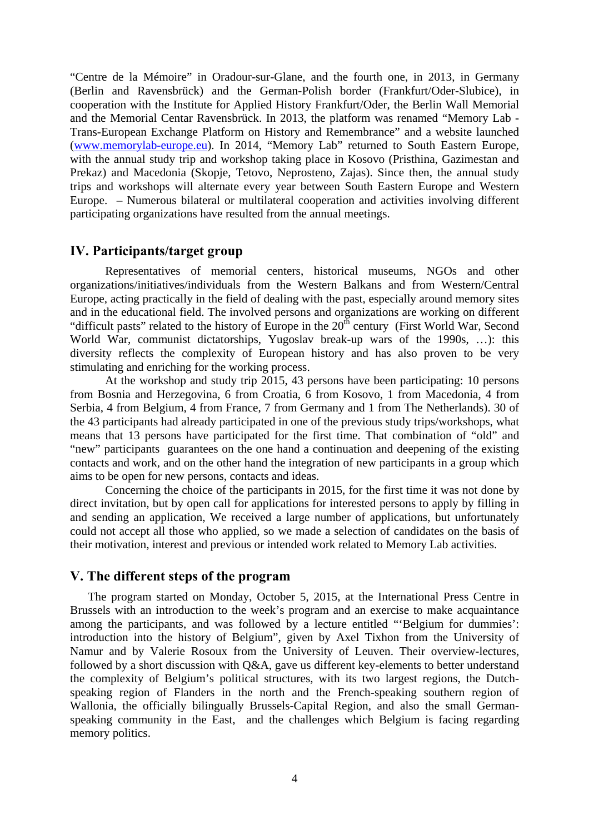"Centre de la Mémoire" in Oradour-sur-Glane, and the fourth one, in 2013, in Germany (Berlin and Ravensbrück) and the German-Polish border (Frankfurt/Oder-Slubice), in cooperation with the Institute for Applied History Frankfurt/Oder, the Berlin Wall Memorial and the Memorial Centar Ravensbrück. In 2013, the platform was renamed "Memory Lab - Trans-European Exchange Platform on History and Remembrance" and a website launched (www.memorylab-europe.eu). In 2014, "Memory Lab" returned to South Eastern Europe, with the annual study trip and workshop taking place in Kosovo (Pristhina, Gazimestan and Prekaz) and Macedonia (Skopje, Tetovo, Neprosteno, Zajas). Since then, the annual study trips and workshops will alternate every year between South Eastern Europe and Western Europe. – Numerous bilateral or multilateral cooperation and activities involving different participating organizations have resulted from the annual meetings.

#### **IV. Participants/target group**

Representatives of memorial centers, historical museums, NGOs and other organizations/initiatives/individuals from the Western Balkans and from Western/Central Europe, acting practically in the field of dealing with the past, especially around memory sites and in the educational field. The involved persons and organizations are working on different "difficult pasts" related to the history of Europe in the  $20<sup>th</sup>$  century (First World War, Second World War, communist dictatorships, Yugoslav break-up wars of the 1990s, …): this diversity reflects the complexity of European history and has also proven to be very stimulating and enriching for the working process.

At the workshop and study trip 2015, 43 persons have been participating: 10 persons from Bosnia and Herzegovina, 6 from Croatia, 6 from Kosovo, 1 from Macedonia, 4 from Serbia, 4 from Belgium, 4 from France, 7 from Germany and 1 from The Netherlands). 30 of the 43 participants had already participated in one of the previous study trips/workshops, what means that 13 persons have participated for the first time. That combination of "old" and "new" participants guarantees on the one hand a continuation and deepening of the existing contacts and work, and on the other hand the integration of new participants in a group which aims to be open for new persons, contacts and ideas.

Concerning the choice of the participants in 2015, for the first time it was not done by direct invitation, but by open call for applications for interested persons to apply by filling in and sending an application, We received a large number of applications, but unfortunately could not accept all those who applied, so we made a selection of candidates on the basis of their motivation, interest and previous or intended work related to Memory Lab activities.

#### **V. The different steps of the program**

The program started on Monday, October 5, 2015, at the International Press Centre in Brussels with an introduction to the week's program and an exercise to make acquaintance among the participants, and was followed by a lecture entitled "'Belgium for dummies': introduction into the history of Belgium", given by Axel Tixhon from the University of Namur and by Valerie Rosoux from the University of Leuven. Their overview-lectures, followed by a short discussion with Q&A, gave us different key-elements to better understand the complexity of Belgium's political structures, with its two largest regions, the Dutchspeaking region of Flanders in the north and the French-speaking southern region of Wallonia, the officially bilingually Brussels-Capital Region, and also the small Germanspeaking community in the East, and the challenges which Belgium is facing regarding memory politics.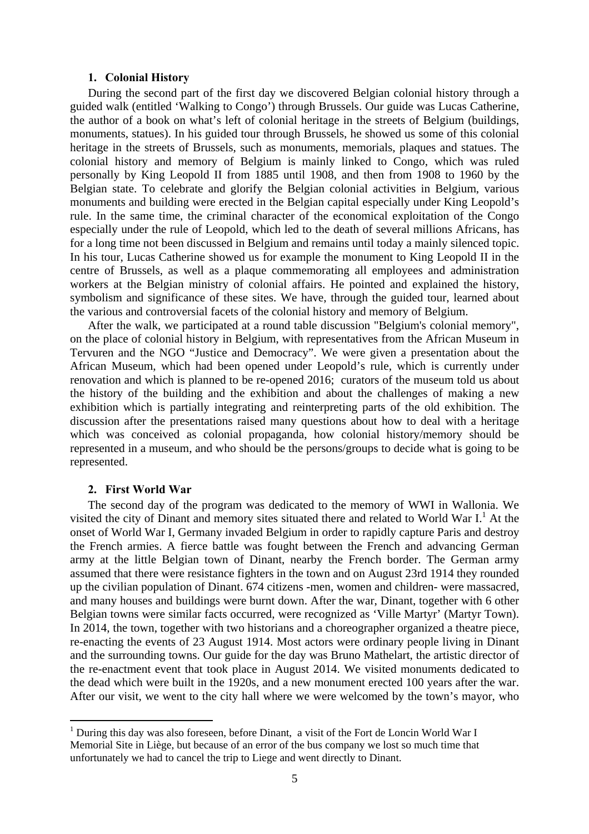#### **1. Colonial History**

During the second part of the first day we discovered Belgian colonial history through a guided walk (entitled 'Walking to Congo') through Brussels. Our guide was Lucas Catherine, the author of a book on what's left of colonial heritage in the streets of Belgium (buildings, monuments, statues). In his guided tour through Brussels, he showed us some of this colonial heritage in the streets of Brussels, such as monuments, memorials, plaques and statues. The colonial history and memory of Belgium is mainly linked to Congo, which was ruled personally by King Leopold II from 1885 until 1908, and then from 1908 to 1960 by the Belgian state. To celebrate and glorify the Belgian colonial activities in Belgium, various monuments and building were erected in the Belgian capital especially under King Leopold's rule. In the same time, the criminal character of the economical exploitation of the Congo especially under the rule of Leopold, which led to the death of several millions Africans, has for a long time not been discussed in Belgium and remains until today a mainly silenced topic. In his tour, Lucas Catherine showed us for example the monument to King Leopold II in the centre of Brussels, as well as a plaque commemorating all employees and administration workers at the Belgian ministry of colonial affairs. He pointed and explained the history, symbolism and significance of these sites. We have, through the guided tour, learned about the various and controversial facets of the colonial history and memory of Belgium.

After the walk, we participated at a round table discussion "Belgium's colonial memory", on the place of colonial history in Belgium, with representatives from the African Museum in Tervuren and the NGO "Justice and Democracy". We were given a presentation about the African Museum, which had been opened under Leopold's rule, which is currently under renovation and which is planned to be re-opened 2016; curators of the museum told us about the history of the building and the exhibition and about the challenges of making a new exhibition which is partially integrating and reinterpreting parts of the old exhibition. The discussion after the presentations raised many questions about how to deal with a heritage which was conceived as colonial propaganda, how colonial history/memory should be represented in a museum, and who should be the persons/groups to decide what is going to be represented.

#### **2. First World War**

1

The second day of the program was dedicated to the memory of WWI in Wallonia. We visited the city of Dinant and memory sites situated there and related to World War I.<sup>1</sup> At the onset of World War I, Germany invaded Belgium in order to rapidly capture Paris and destroy the French armies. A fierce battle was fought between the French and advancing German army at the little Belgian town of Dinant, nearby the French border. The German army assumed that there were resistance fighters in the town and on August 23rd 1914 they rounded up the civilian population of Dinant. 674 citizens -men, women and children- were massacred, and many houses and buildings were burnt down. After the war, Dinant, together with 6 other Belgian towns were similar facts occurred, were recognized as 'Ville Martyr' (Martyr Town). In 2014, the town, together with two historians and a choreographer organized a theatre piece, re-enacting the events of 23 August 1914. Most actors were ordinary people living in Dinant and the surrounding towns. Our guide for the day was Bruno Mathelart, the artistic director of the re-enactment event that took place in August 2014. We visited monuments dedicated to the dead which were built in the 1920s, and a new monument erected 100 years after the war. After our visit, we went to the city hall where we were welcomed by the town's mayor, who

<sup>&</sup>lt;sup>1</sup> During this day was also foreseen, before Dinant, a visit of the Fort de Loncin World War I Memorial Site in Liège, but because of an error of the bus company we lost so much time that unfortunately we had to cancel the trip to Liege and went directly to Dinant.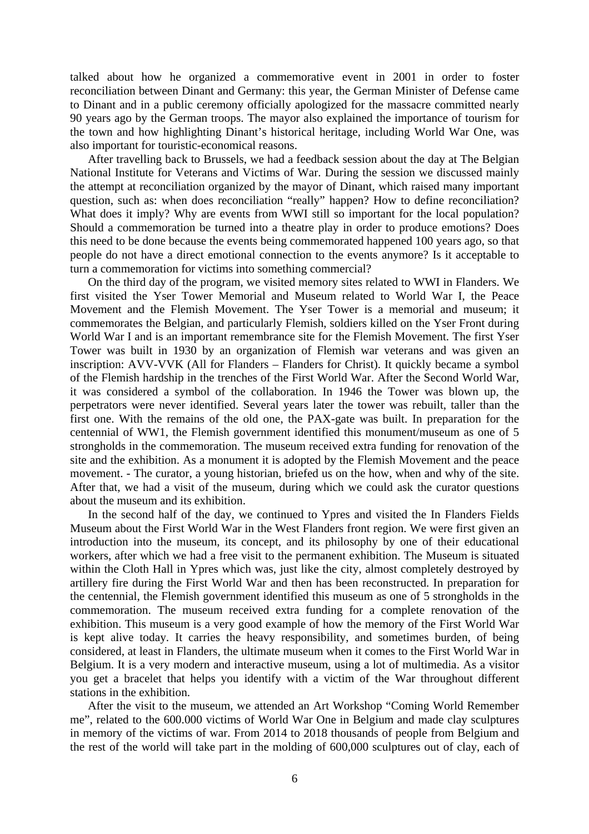talked about how he organized a commemorative event in 2001 in order to foster reconciliation between Dinant and Germany: this year, the German Minister of Defense came to Dinant and in a public ceremony officially apologized for the massacre committed nearly 90 years ago by the German troops. The mayor also explained the importance of tourism for the town and how highlighting Dinant's historical heritage, including World War One, was also important for touristic-economical reasons.

After travelling back to Brussels, we had a feedback session about the day at The Belgian National Institute for Veterans and Victims of War. During the session we discussed mainly the attempt at reconciliation organized by the mayor of Dinant, which raised many important question, such as: when does reconciliation "really" happen? How to define reconciliation? What does it imply? Why are events from WWI still so important for the local population? Should a commemoration be turned into a theatre play in order to produce emotions? Does this need to be done because the events being commemorated happened 100 years ago, so that people do not have a direct emotional connection to the events anymore? Is it acceptable to turn a commemoration for victims into something commercial?

On the third day of the program, we visited memory sites related to WWI in Flanders. We first visited the Yser Tower Memorial and Museum related to World War I, the Peace Movement and the Flemish Movement. The Yser Tower is a memorial and museum; it commemorates the Belgian, and particularly Flemish, soldiers killed on the Yser Front during World War I and is an important remembrance site for the Flemish Movement. The first Yser Tower was built in 1930 by an organization of Flemish war veterans and was given an inscription: AVV-VVK (All for Flanders – Flanders for Christ). It quickly became a symbol of the Flemish hardship in the trenches of the First World War. After the Second World War, it was considered a symbol of the collaboration. In 1946 the Tower was blown up, the perpetrators were never identified. Several years later the tower was rebuilt, taller than the first one. With the remains of the old one, the PAX-gate was built. In preparation for the centennial of WW1, the Flemish government identified this monument/museum as one of 5 strongholds in the commemoration. The museum received extra funding for renovation of the site and the exhibition. As a monument it is adopted by the Flemish Movement and the peace movement. - The curator, a young historian, briefed us on the how, when and why of the site. After that, we had a visit of the museum, during which we could ask the curator questions about the museum and its exhibition.

In the second half of the day, we continued to Ypres and visited the In Flanders Fields Museum about the First World War in the West Flanders front region. We were first given an introduction into the museum, its concept, and its philosophy by one of their educational workers, after which we had a free visit to the permanent exhibition. The Museum is situated within the Cloth Hall in Ypres which was, just like the city, almost completely destroyed by artillery fire during the First World War and then has been reconstructed. In preparation for the centennial, the Flemish government identified this museum as one of 5 strongholds in the commemoration. The museum received extra funding for a complete renovation of the exhibition. This museum is a very good example of how the memory of the First World War is kept alive today. It carries the heavy responsibility, and sometimes burden, of being considered, at least in Flanders, the ultimate museum when it comes to the First World War in Belgium. It is a very modern and interactive museum, using a lot of multimedia. As a visitor you get a bracelet that helps you identify with a victim of the War throughout different stations in the exhibition.

After the visit to the museum, we attended an Art Workshop "Coming World Remember me", related to the 600.000 victims of World War One in Belgium and made clay sculptures in memory of the victims of war. From 2014 to 2018 thousands of people from Belgium and the rest of the world will take part in the molding of 600,000 sculptures out of clay, each of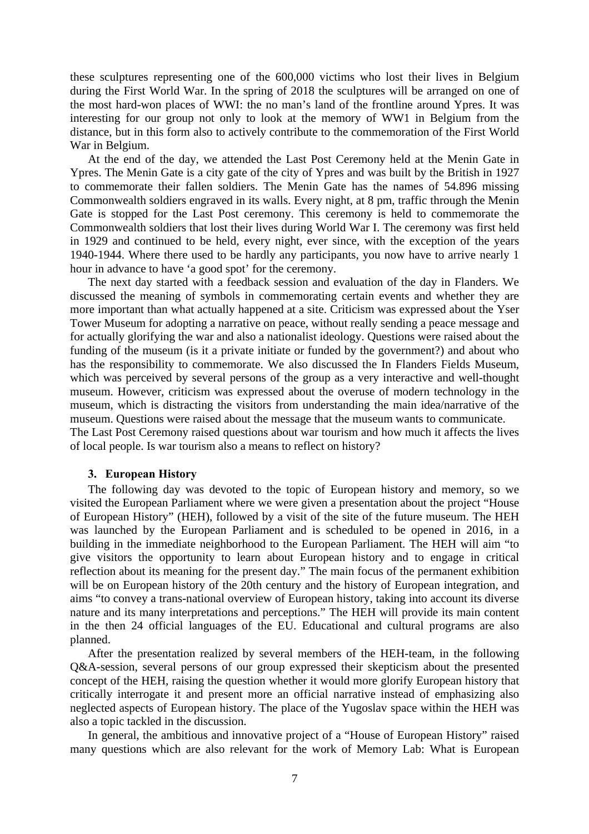these sculptures representing one of the 600,000 victims who lost their lives in Belgium during the First World War. In the spring of 2018 the sculptures will be arranged on one of the most hard-won places of WWI: the no man's land of the frontline around Ypres. It was interesting for our group not only to look at the memory of WW1 in Belgium from the distance, but in this form also to actively contribute to the commemoration of the First World War in Belgium.

At the end of the day, we attended the Last Post Ceremony held at the Menin Gate in Ypres. The Menin Gate is a city gate of the city of Ypres and was built by the British in 1927 to commemorate their fallen soldiers. The Menin Gate has the names of 54.896 missing Commonwealth soldiers engraved in its walls. Every night, at 8 pm, traffic through the Menin Gate is stopped for the Last Post ceremony. This ceremony is held to commemorate the Commonwealth soldiers that lost their lives during World War I. The ceremony was first held in 1929 and continued to be held, every night, ever since, with the exception of the years 1940-1944. Where there used to be hardly any participants, you now have to arrive nearly 1 hour in advance to have 'a good spot' for the ceremony.

The next day started with a feedback session and evaluation of the day in Flanders. We discussed the meaning of symbols in commemorating certain events and whether they are more important than what actually happened at a site. Criticism was expressed about the Yser Tower Museum for adopting a narrative on peace, without really sending a peace message and for actually glorifying the war and also a nationalist ideology. Questions were raised about the funding of the museum (is it a private initiate or funded by the government?) and about who has the responsibility to commemorate. We also discussed the In Flanders Fields Museum, which was perceived by several persons of the group as a very interactive and well-thought museum. However, criticism was expressed about the overuse of modern technology in the museum, which is distracting the visitors from understanding the main idea/narrative of the museum. Questions were raised about the message that the museum wants to communicate. The Last Post Ceremony raised questions about war tourism and how much it affects the lives

of local people. Is war tourism also a means to reflect on history?

#### **3. European History**

The following day was devoted to the topic of European history and memory, so we visited the European Parliament where we were given a presentation about the project "House of European History" (HEH), followed by a visit of the site of the future museum. The HEH was launched by the European Parliament and is scheduled to be opened in 2016, in a building in the immediate neighborhood to the European Parliament. The HEH will aim "to give visitors the opportunity to learn about European history and to engage in critical reflection about its meaning for the present day." The main focus of the permanent exhibition will be on European history of the 20th century and the history of European integration, and aims "to convey a trans-national overview of European history, taking into account its diverse nature and its many interpretations and perceptions." The HEH will provide its main content in the then 24 official languages of the EU. Educational and cultural programs are also planned.

After the presentation realized by several members of the HEH-team, in the following Q&A-session, several persons of our group expressed their skepticism about the presented concept of the HEH, raising the question whether it would more glorify European history that critically interrogate it and present more an official narrative instead of emphasizing also neglected aspects of European history. The place of the Yugoslav space within the HEH was also a topic tackled in the discussion.

In general, the ambitious and innovative project of a "House of European History" raised many questions which are also relevant for the work of Memory Lab: What is European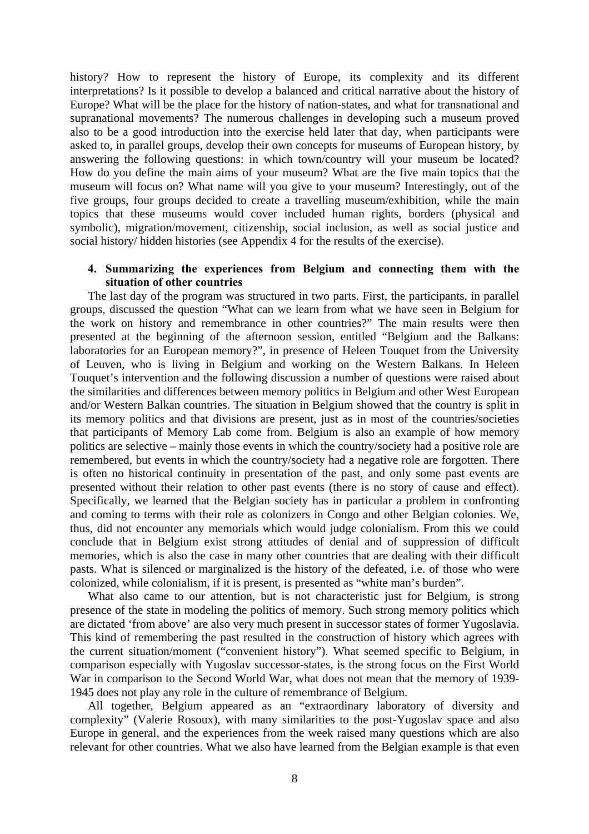history? How to represent the history of Europe, its complexity and its different interpretations? Is it possible to develop a balanced and critical narrative about the history of Europe? What will be the place for the history of nation-states, and what for transnational and supranational movements? The numerous challenges in developing such a museum proved also to be a good introduction into the exercise held later that day, when participants were asked to, in parallel groups, develop their own concepts for museums of European history, by answering the following questions: in which town/country will your museum be located? How do you define the main aims of your museum? What are the five main topics that the museum will focus on? What name will you give to your museum? Interestingly, out of the five groups, four groups decided to create a travelling museum/exhibition, while the main topics that these museums would cover included human rights, borders (physical and symbolic), migration/movement, citizenship, social inclusion, as well as social justice and social history/ hidden histories (see Appendix 4 for the results of the exercise).

#### **4. Summarizing the experiences from Belgium and connecting them with the situation of other countries**

The last day of the program was structured in two parts. First, the participants, in parallel groups, discussed the question "What can we learn from what we have seen in Belgium for the work on history and remembrance in other countries?" The main results were then presented at the beginning of the afternoon session, entitled "Belgium and the Balkans: laboratories for an European memory?", in presence of Heleen Touquet from the University of Leuven, who is living in Belgium and working on the Western Balkans. In Heleen Touquet's intervention and the following discussion a number of questions were raised about the similarities and differences between memory politics in Belgium and other West European and/or Western Balkan countries. The situation in Belgium showed that the country is split in its memory politics and that divisions are present, just as in most of the countries/societies that participants of Memory Lab come from. Belgium is also an example of how memory politics are selective – mainly those events in which the country/society had a positive role are remembered, but events in which the country/society had a negative role are forgotten. There is often no historical continuity in presentation of the past, and only some past events are presented without their relation to other past events (there is no story of cause and effect). Specifically, we learned that the Belgian society has in particular a problem in confronting and coming to terms with their role as colonizers in Congo and other Belgian colonies. We, thus, did not encounter any memorials which would judge colonialism. From this we could conclude that in Belgium exist strong attitudes of denial and of suppression of difficult memories, which is also the case in many other countries that are dealing with their difficult pasts. What is silenced or marginalized is the history of the defeated, i.e. of those who were colonized, while colonialism, if it is present, is presented as "white man's burden".

What also came to our attention, but is not characteristic just for Belgium, is strong presence of the state in modeling the politics of memory. Such strong memory politics which are dictated 'from above' are also very much present in successor states of former Yugoslavia. This kind of remembering the past resulted in the construction of history which agrees with the current situation/moment ("convenient history"). What seemed specific to Belgium, in comparison especially with Yugoslav successor-states, is the strong focus on the First World War in comparison to the Second World War, what does not mean that the memory of 1939- 1945 does not play any role in the culture of remembrance of Belgium.

All together, Belgium appeared as an "extraordinary laboratory of diversity and complexity" (Valerie Rosoux), with many similarities to the post-Yugoslav space and also Europe in general, and the experiences from the week raised many questions which are also relevant for other countries. What we also have learned from the Belgian example is that even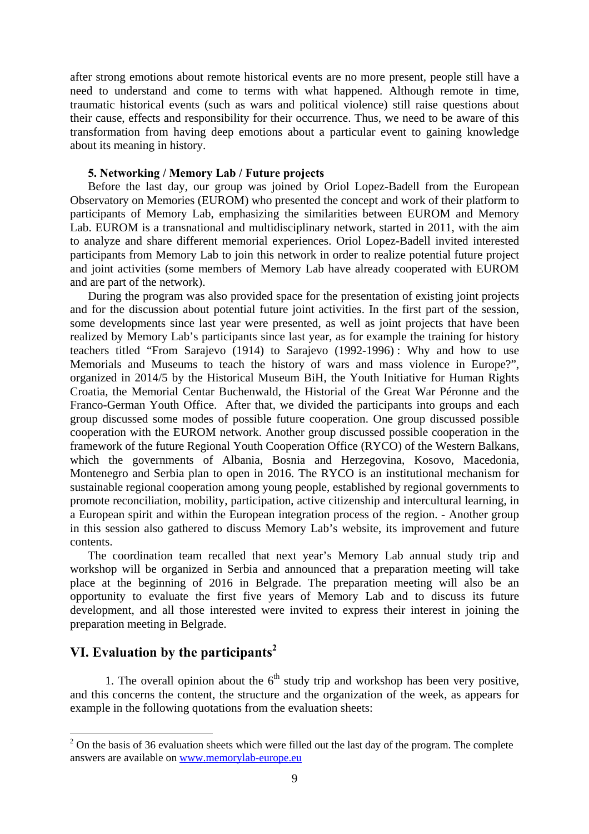after strong emotions about remote historical events are no more present, people still have a need to understand and come to terms with what happened. Although remote in time, traumatic historical events (such as wars and political violence) still raise questions about their cause, effects and responsibility for their occurrence. Thus, we need to be aware of this transformation from having deep emotions about a particular event to gaining knowledge about its meaning in history.

#### **5. Networking / Memory Lab / Future projects**

Before the last day, our group was joined by Oriol Lopez-Badell from the European Observatory on Memories (EUROM) who presented the concept and work of their platform to participants of Memory Lab, emphasizing the similarities between EUROM and Memory Lab. EUROM is a transnational and multidisciplinary network, started in 2011, with the aim to analyze and share different memorial experiences. Oriol Lopez-Badell invited interested participants from Memory Lab to join this network in order to realize potential future project and joint activities (some members of Memory Lab have already cooperated with EUROM and are part of the network).

During the program was also provided space for the presentation of existing joint projects and for the discussion about potential future joint activities. In the first part of the session, some developments since last year were presented, as well as joint projects that have been realized by Memory Lab's participants since last year, as for example the training for history teachers titled "From Sarajevo (1914) to Sarajevo (1992-1996) : Why and how to use Memorials and Museums to teach the history of wars and mass violence in Europe?", organized in 2014/5 by the Historical Museum BiH, the Youth Initiative for Human Rights Croatia, the Memorial Centar Buchenwald, the Historial of the Great War Péronne and the Franco-German Youth Office. After that, we divided the participants into groups and each group discussed some modes of possible future cooperation. One group discussed possible cooperation with the EUROM network. Another group discussed possible cooperation in the framework of the future Regional Youth Cooperation Office (RYCO) of the Western Balkans, which the governments of Albania, Bosnia and Herzegovina, Kosovo, Macedonia, Montenegro and Serbia plan to open in 2016. The RYCO is an institutional mechanism for sustainable regional cooperation among young people, established by regional governments to promote reconciliation, mobility, participation, active citizenship and intercultural learning, in a European spirit and within the European integration process of the region. - Another group in this session also gathered to discuss Memory Lab's website, its improvement and future contents.

The coordination team recalled that next year's Memory Lab annual study trip and workshop will be organized in Serbia and announced that a preparation meeting will take place at the beginning of 2016 in Belgrade. The preparation meeting will also be an opportunity to evaluate the first five years of Memory Lab and to discuss its future development, and all those interested were invited to express their interest in joining the preparation meeting in Belgrade.

#### **VI. Evaluation by the participants<sup>2</sup>**

<u>.</u>

1. The overall opinion about the  $6<sup>th</sup>$  study trip and workshop has been very positive, and this concerns the content, the structure and the organization of the week, as appears for example in the following quotations from the evaluation sheets:

 $2$  On the basis of 36 evaluation sheets which were filled out the last day of the program. The complete answers are available on www.memorylab-europe.eu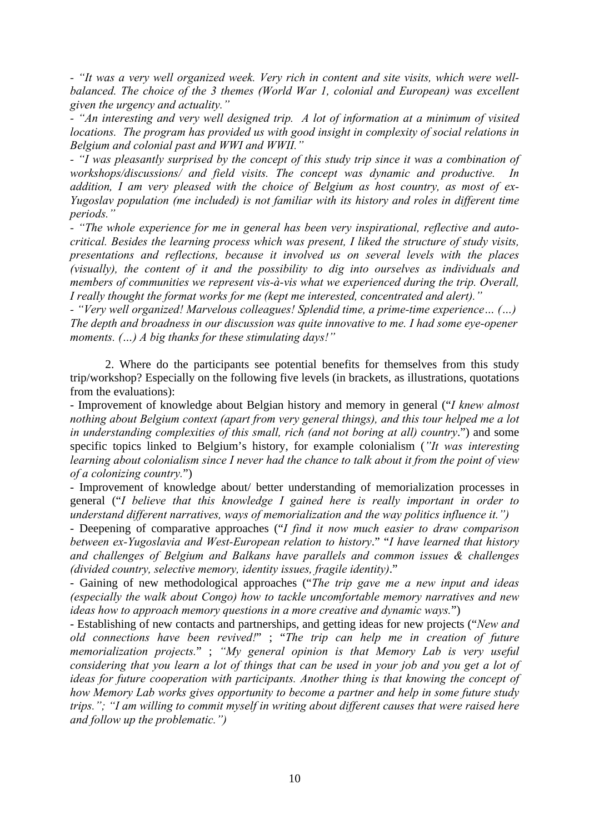*- "It was a very well organized week. Very rich in content and site visits, which were wellbalanced. The choice of the 3 themes (World War 1, colonial and European) was excellent given the urgency and actuality."* 

*- "An interesting and very well designed trip. A lot of information at a minimum of visited locations. The program has provided us with good insight in complexity of social relations in Belgium and colonial past and WWI and WWII."* 

*- "I was pleasantly surprised by the concept of this study trip since it was a combination of workshops/discussions/ and field visits. The concept was dynamic and productive. In addition, I am very pleased with the choice of Belgium as host country, as most of ex-Yugoslav population (me included) is not familiar with its history and roles in different time periods."* 

*- "The whole experience for me in general has been very inspirational, reflective and autocritical. Besides the learning process which was present, I liked the structure of study visits, presentations and reflections, because it involved us on several levels with the places (visually), the content of it and the possibility to dig into ourselves as individuals and members of communities we represent vis-à-vis what we experienced during the trip. Overall, I really thought the format works for me (kept me interested, concentrated and alert)."* 

*- "Very well organized! Marvelous colleagues! Splendid time, a prime-time experience… (…) The depth and broadness in our discussion was quite innovative to me. I had some eye-opener moments. (…) A big thanks for these stimulating days!"* 

2. Where do the participants see potential benefits for themselves from this study trip/workshop? Especially on the following five levels (in brackets, as illustrations, quotations from the evaluations):

- Improvement of knowledge about Belgian history and memory in general ("*I knew almost nothing about Belgium context (apart from very general things), and this tour helped me a lot in understanding complexities of this small, rich (and not boring at all) country*.") and some specific topics linked to Belgium's history, for example colonialism (*"It was interesting learning about colonialism since I never had the chance to talk about it from the point of view of a colonizing country.*")

- Improvement of knowledge about/ better understanding of memorialization processes in general ("*I believe that this knowledge I gained here is really important in order to understand different narratives, ways of memorialization and the way politics influence it.")*

- Deepening of comparative approaches ("*I find it now much easier to draw comparison between ex-Yugoslavia and West-European relation to history*." "*I have learned that history and challenges of Belgium and Balkans have parallels and common issues & challenges (divided country, selective memory, identity issues, fragile identity)*."

- Gaining of new methodological approaches ("*The trip gave me a new input and ideas (especially the walk about Congo) how to tackle uncomfortable memory narratives and new ideas how to approach memory questions in a more creative and dynamic ways.*")

- Establishing of new contacts and partnerships, and getting ideas for new projects ("*New and old connections have been revived!*" ; "*The trip can help me in creation of future memorialization projects.*" ; *"My general opinion is that Memory Lab is very useful considering that you learn a lot of things that can be used in your job and you get a lot of ideas for future cooperation with participants. Another thing is that knowing the concept of how Memory Lab works gives opportunity to become a partner and help in some future study trips."; "I am willing to commit myself in writing about different causes that were raised here and follow up the problematic.")*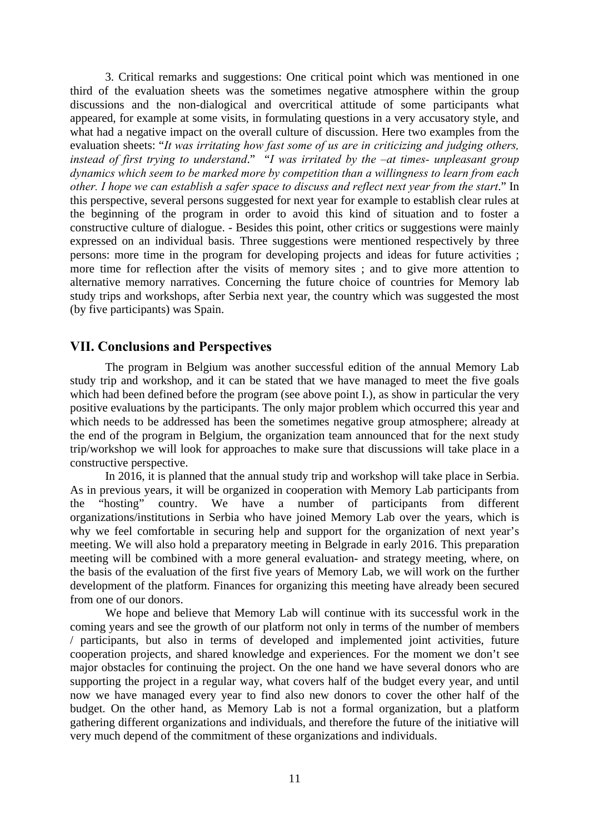3. Critical remarks and suggestions: One critical point which was mentioned in one third of the evaluation sheets was the sometimes negative atmosphere within the group discussions and the non-dialogical and overcritical attitude of some participants what appeared, for example at some visits, in formulating questions in a very accusatory style, and what had a negative impact on the overall culture of discussion. Here two examples from the evaluation sheets: "*It was irritating how fast some of us are in criticizing and judging others, instead of first trying to understand*." "*I was irritated by the –at times- unpleasant group dynamics which seem to be marked more by competition than a willingness to learn from each other. I hope we can establish a safer space to discuss and reflect next year from the start*." In this perspective, several persons suggested for next year for example to establish clear rules at the beginning of the program in order to avoid this kind of situation and to foster a constructive culture of dialogue. - Besides this point, other critics or suggestions were mainly expressed on an individual basis. Three suggestions were mentioned respectively by three persons: more time in the program for developing projects and ideas for future activities ; more time for reflection after the visits of memory sites ; and to give more attention to alternative memory narratives. Concerning the future choice of countries for Memory lab study trips and workshops, after Serbia next year, the country which was suggested the most (by five participants) was Spain.

#### **VII. Conclusions and Perspectives**

The program in Belgium was another successful edition of the annual Memory Lab study trip and workshop, and it can be stated that we have managed to meet the five goals which had been defined before the program (see above point I.), as show in particular the very positive evaluations by the participants. The only major problem which occurred this year and which needs to be addressed has been the sometimes negative group atmosphere; already at the end of the program in Belgium, the organization team announced that for the next study trip/workshop we will look for approaches to make sure that discussions will take place in a constructive perspective.

In 2016, it is planned that the annual study trip and workshop will take place in Serbia. As in previous years, it will be organized in cooperation with Memory Lab participants from the "hosting" country. We have a number of participants from different organizations/institutions in Serbia who have joined Memory Lab over the years, which is why we feel comfortable in securing help and support for the organization of next year's meeting. We will also hold a preparatory meeting in Belgrade in early 2016. This preparation meeting will be combined with a more general evaluation- and strategy meeting, where, on the basis of the evaluation of the first five years of Memory Lab, we will work on the further development of the platform. Finances for organizing this meeting have already been secured from one of our donors.

We hope and believe that Memory Lab will continue with its successful work in the coming years and see the growth of our platform not only in terms of the number of members / participants, but also in terms of developed and implemented joint activities, future cooperation projects, and shared knowledge and experiences. For the moment we don't see major obstacles for continuing the project. On the one hand we have several donors who are supporting the project in a regular way, what covers half of the budget every year, and until now we have managed every year to find also new donors to cover the other half of the budget. On the other hand, as Memory Lab is not a formal organization, but a platform gathering different organizations and individuals, and therefore the future of the initiative will very much depend of the commitment of these organizations and individuals.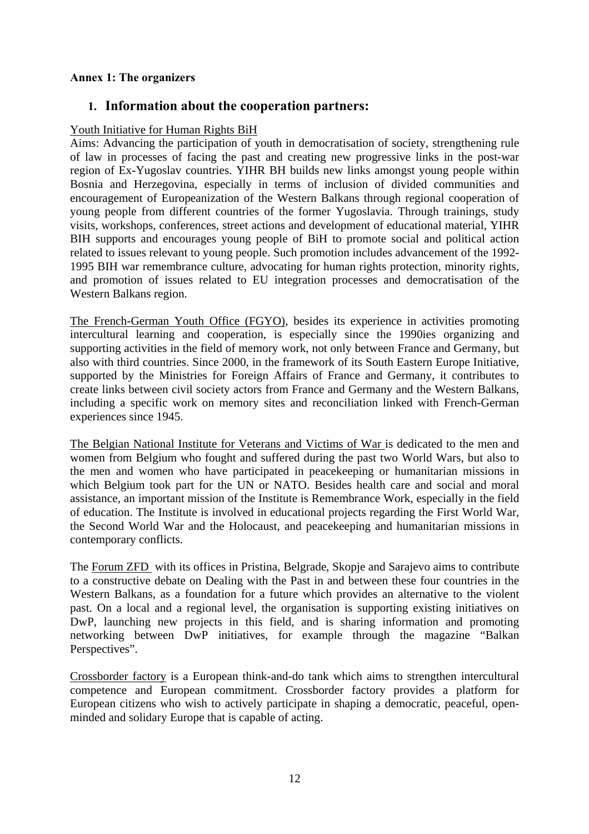#### **Annex 1: The organizers**

#### **1. Information about the cooperation partners:**

#### Youth Initiative for Human Rights BiH

Aims: Advancing the participation of youth in democratisation of society, strengthening rule of law in processes of facing the past and creating new progressive links in the post-war region of Ex-Yugoslav countries. YIHR BH builds new links amongst young people within Bosnia and Herzegovina, especially in terms of inclusion of divided communities and encouragement of Europeanization of the Western Balkans through regional cooperation of young people from different countries of the former Yugoslavia. Through trainings, study visits, workshops, conferences, street actions and development of educational material, YIHR BIH supports and encourages young people of BiH to promote social and political action related to issues relevant to young people. Such promotion includes advancement of the 1992- 1995 BIH war remembrance culture, advocating for human rights protection, minority rights, and promotion of issues related to EU integration processes and democratisation of the Western Balkans region.

The French-German Youth Office (FGYO), besides its experience in activities promoting intercultural learning and cooperation, is especially since the 1990ies organizing and supporting activities in the field of memory work, not only between France and Germany, but also with third countries. Since 2000, in the framework of its South Eastern Europe Initiative, supported by the Ministries for Foreign Affairs of France and Germany, it contributes to create links between civil society actors from France and Germany and the Western Balkans, including a specific work on memory sites and reconciliation linked with French-German experiences since 1945.

The Belgian National Institute for Veterans and Victims of War is dedicated to the men and women from Belgium who fought and suffered during the past two World Wars, but also to the men and women who have participated in peacekeeping or humanitarian missions in which Belgium took part for the UN or NATO. Besides health care and social and moral assistance, an important mission of the Institute is Remembrance Work, especially in the field of education. The Institute is involved in educational projects regarding the First World War, the Second World War and the Holocaust, and peacekeeping and humanitarian missions in contemporary conflicts.

The Forum ZFD with its offices in Pristina, Belgrade, Skopje and Sarajevo aims to contribute to a constructive debate on Dealing with the Past in and between these four countries in the Western Balkans, as a foundation for a future which provides an alternative to the violent past. On a local and a regional level, the organisation is supporting existing initiatives on DwP, launching new projects in this field, and is sharing information and promoting networking between DwP initiatives, for example through the magazine "Balkan Perspectives".

Crossborder factory is a European think-and-do tank which aims to strengthen intercultural competence and European commitment. Crossborder factory provides a platform for European citizens who wish to actively participate in shaping a democratic, peaceful, openminded and solidary Europe that is capable of acting.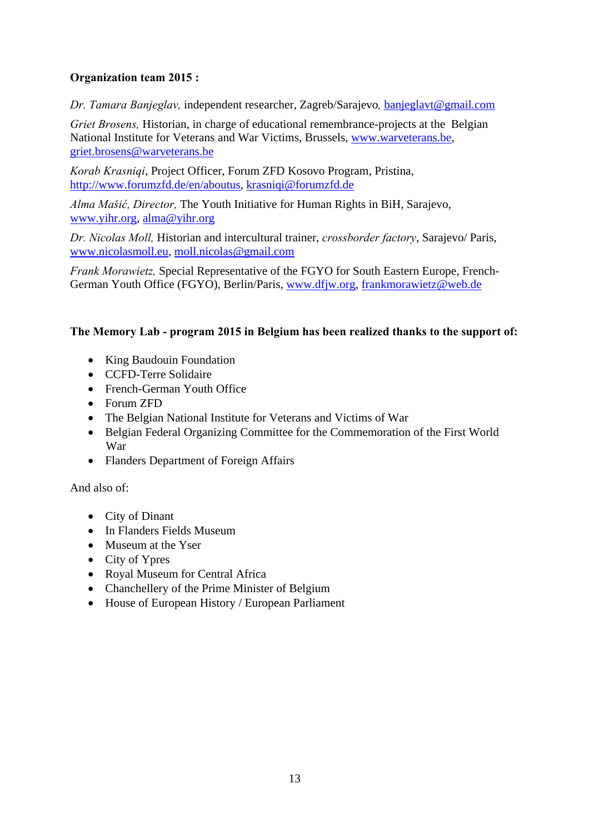#### **Organization team 2015 :**

*Dr. Tamara Banjeglav,* independent researcher, Zagreb/Sarajevo*,* banjeglavt@gmail.com

*Griet Brosens,* Historian, in charge of educational remembrance-projects at the Belgian National Institute for Veterans and War Victims, Brussels, www.warveterans.be, griet.brosens@warveterans.be

*Korab Krasniqi*, Project Officer, Forum ZFD Kosovo Program, Pristina, http://www.forumzfd.de/en/aboutus, krasniqi@forumzfd.de

*Alma Mašić, Director,* The Youth Initiative for Human Rights in BiH, Sarajevo, www.yihr.org, alma@yihr.org

*Dr. Nicolas Moll,* Historian and intercultural trainer, *crossborder factory*, Sarajevo/ Paris, www.nicolasmoll.eu, moll.nicolas@gmail.com

*Frank Morawietz,* Special Representative of the FGYO for South Eastern Europe, French-German Youth Office (FGYO), Berlin/Paris, www.dfjw.org, frankmorawietz@web.de

#### **The Memory Lab - program 2015 in Belgium has been realized thanks to the support of:**

- King Baudouin Foundation
- CCFD-Terre Solidaire
- French-German Youth Office
- Forum ZFD
- The Belgian National Institute for Veterans and Victims of War
- Belgian Federal Organizing Committee for the Commemoration of the First World War
- Flanders Department of Foreign Affairs

And also of:

- City of Dinant
- In Flanders Fields Museum
- Museum at the Yser
- City of Ypres
- Royal Museum for Central Africa
- Chanchellery of the Prime Minister of Belgium
- House of European History / European Parliament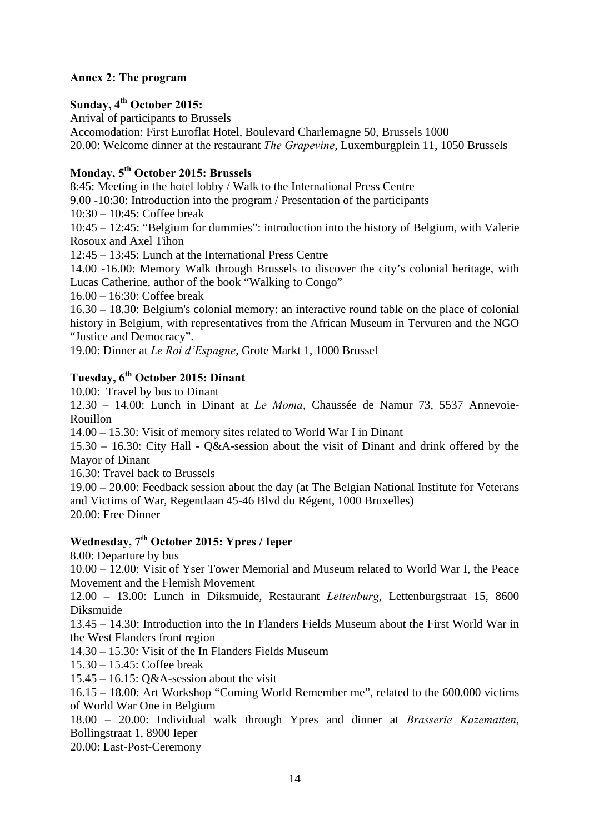#### **Annex 2: The program**

#### **Sunday, 4th October 2015:**

Arrival of participants to Brussels

Accomodation: First Euroflat Hotel, Boulevard Charlemagne 50, Brussels 1000 20.00: Welcome dinner at the restaurant *The Grapevine*, Luxemburgplein 11, 1050 Brussels

#### **Monday, 5th October 2015: Brussels**

8:45: Meeting in the hotel lobby / Walk to the International Press Centre

9.00 -10:30: Introduction into the program / Presentation of the participants

10:30 – 10:45: Coffee break

10:45 – 12:45: "Belgium for dummies": introduction into the history of Belgium, with Valerie Rosoux and Axel Tihon

12:45 – 13:45: Lunch at the International Press Centre

14.00 -16.00: Memory Walk through Brussels to discover the city's colonial heritage, with Lucas Catherine, author of the book "Walking to Congo"

16.00 – 16:30: Coffee break

16.30 – 18.30: Belgium's colonial memory: an interactive round table on the place of colonial history in Belgium, with representatives from the African Museum in Tervuren and the NGO "Justice and Democracy".

19.00: Dinner at *Le Roi d'Espagne*, Grote Markt 1, 1000 Brussel

#### **Tuesday, 6th October 2015: Dinant**

10.00: Travel by bus to Dinant

12.30 – 14.00: Lunch in Dinant at *Le Moma*, Chaussée de Namur 73, 5537 Annevoie-Rouillon

14.00 – 15.30: Visit of memory sites related to World War I in Dinant

15.30 – 16.30: City Hall - Q&A-session about the visit of Dinant and drink offered by the Mayor of Dinant

16.30: Travel back to Brussels

19.00 – 20.00: Feedback session about the day (at The Belgian National Institute for Veterans and Victims of War, Regentlaan 45-46 Blvd du Régent, 1000 Bruxelles) 20.00: Free Dinner

#### **Wednesday, 7th October 2015: Ypres / Ieper**

8.00: Departure by bus

10.00 – 12.00: Visit of Yser Tower Memorial and Museum related to World War I, the Peace Movement and the Flemish Movement

12.00 – 13.00: Lunch in Diksmuide, Restaurant *Lettenburg*, Lettenburgstraat 15, 8600 Diksmuide

13.45 – 14.30: Introduction into the In Flanders Fields Museum about the First World War in the West Flanders front region

14.30 – 15.30: Visit of the In Flanders Fields Museum

15.30 – 15.45: Coffee break

 $15.45 - 16.15$ : Q&A-session about the visit

16.15 – 18.00: Art Workshop "Coming World Remember me", related to the 600.000 victims of World War One in Belgium

18.00 – 20.00: Individual walk through Ypres and dinner at *Brasserie Kazematten*, Bollingstraat 1, 8900 Ieper

20.00: Last-Post-Ceremony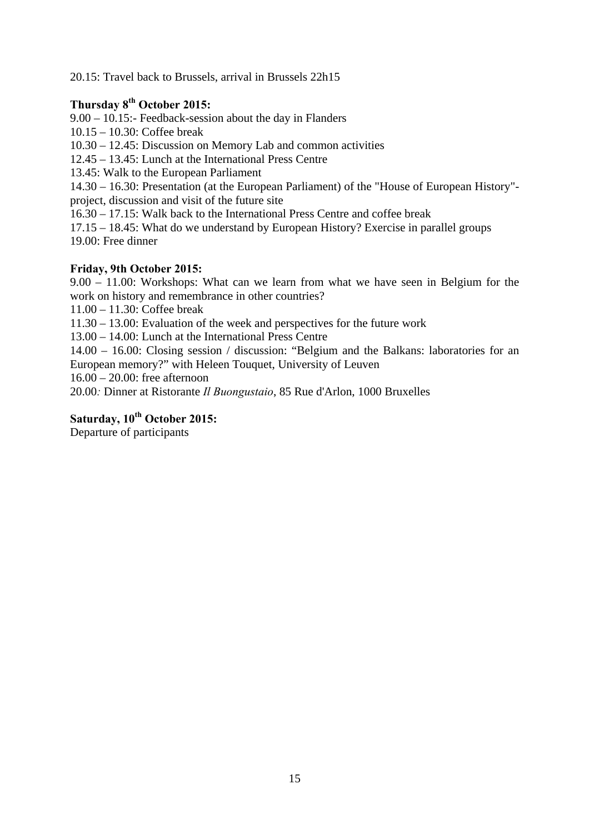20.15: Travel back to Brussels, arrival in Brussels 22h15

#### **Thursday 8th October 2015:**

9.00 – 10.15:- Feedback-session about the day in Flanders

10.15 – 10.30: Coffee break

10.30 – 12.45: Discussion on Memory Lab and common activities

12.45 – 13.45: Lunch at the International Press Centre

13.45: Walk to the European Parliament

14.30 – 16.30: Presentation (at the European Parliament) of the "House of European History" project, discussion and visit of the future site

16.30 – 17.15: Walk back to the International Press Centre and coffee break

17.15 – 18.45: What do we understand by European History? Exercise in parallel groups 19.00: Free dinner

#### **Friday, 9th October 2015:**

9.00 – 11.00: Workshops: What can we learn from what we have seen in Belgium for the work on history and remembrance in other countries?

11.00 – 11.30: Coffee break

11.30 – 13.00: Evaluation of the week and perspectives for the future work

13.00 – 14.00: Lunch at the International Press Centre

14.00 – 16.00: Closing session / discussion: "Belgium and the Balkans: laboratories for an European memory?" with Heleen Touquet, University of Leuven

16.00 – 20.00: free afternoon

20.00*:* Dinner at Ristorante *Il Buongustaio*, 85 Rue d'Arlon, 1000 Bruxelles

#### **Saturday, 10th October 2015:**

Departure of participants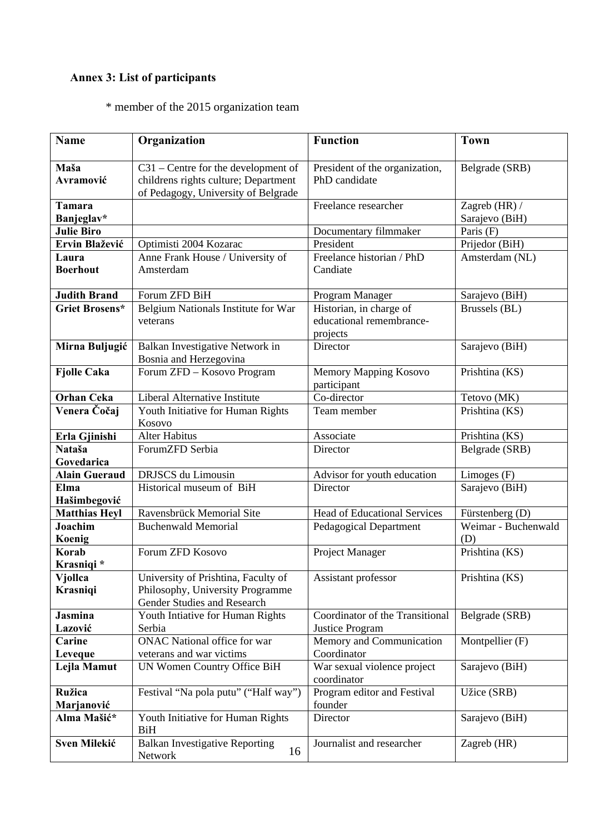### **Annex 3: List of participants**

\* member of the 2015 organization team

| <b>Name</b>           | Organization                                           | <b>Function</b>                            | <b>Town</b>         |
|-----------------------|--------------------------------------------------------|--------------------------------------------|---------------------|
| Maša                  | $C31$ – Centre for the development of                  | President of the organization,             | Belgrade (SRB)      |
| Avramović             | childrens rights culture; Department                   | PhD candidate                              |                     |
|                       | of Pedagogy, University of Belgrade                    |                                            |                     |
| <b>Tamara</b>         |                                                        | Freelance researcher                       | Zagreb (HR) /       |
| Banjeglav*            |                                                        |                                            | Sarajevo (BiH)      |
| <b>Julie Biro</b>     |                                                        | Documentary filmmaker                      | Paris (F)           |
| Ervin Blažević        | Optimisti 2004 Kozarac                                 | President                                  | Prijedor (BiH)      |
| Laura                 | Anne Frank House / University of                       | Freelance historian / PhD                  | Amsterdam (NL)      |
| <b>Boerhout</b>       | Amsterdam                                              | Candiate                                   |                     |
| <b>Judith Brand</b>   | Forum ZFD BiH                                          | Program Manager                            | Sarajevo (BiH)      |
| <b>Griet Brosens*</b> | Belgium Nationals Institute for War                    | Historian, in charge of                    | Brussels (BL)       |
|                       | veterans                                               | educational remembrance-                   |                     |
|                       |                                                        | projects                                   |                     |
| Mirna Buljugić        | Balkan Investigative Network in                        | Director                                   | Sarajevo (BiH)      |
|                       | Bosnia and Herzegovina                                 |                                            |                     |
| <b>Fjolle Caka</b>    | Forum ZFD - Kosovo Program                             | Memory Mapping Kosovo                      | Prishtina (KS)      |
|                       |                                                        | participant                                |                     |
| <b>Orhan Ceka</b>     | Liberal Alternative Institute                          | Co-director                                | Tetovo (MK)         |
| Venera Čočaj          | Youth Initiative for Human Rights<br>Kosovo            | Team member                                | Prishtina (KS)      |
| Erla Gjinishi         | <b>Alter Habitus</b>                                   | Associate                                  | Prishtina (KS)      |
| Nataša                | ForumZFD Serbia                                        | Director                                   | Belgrade (SRB)      |
| Govedarica            |                                                        |                                            |                     |
| <b>Alain Gueraud</b>  | DRJSCS du Limousin                                     | Advisor for youth education                | Limoges (F)         |
| Elma                  | Historical museum of BiH                               | Director                                   | Sarajevo (BiH)      |
| Hašimbegović          |                                                        |                                            |                     |
| <b>Matthias Heyl</b>  | Ravensbrück Memorial Site                              | <b>Head of Educational Services</b>        | Fürstenberg (D)     |
| Joachim               | <b>Buchenwald Memorial</b>                             | <b>Pedagogical Department</b>              | Weimar - Buchenwald |
| Koenig                |                                                        |                                            | (D)                 |
| Korab<br>Krasniqi *   | Forum ZFD Kosovo                                       | Project Manager                            | Prishtina (KS)      |
| Vjollca               | University of Prishtina, Faculty of                    | Assistant professor                        | Prishtina (KS)      |
| <b>Krasniqi</b>       | Philosophy, University Programme                       |                                            |                     |
|                       | Gender Studies and Research                            |                                            |                     |
| <b>Jasmina</b>        | Youth Intiative for Human Rights                       | Coordinator of the Transitional            | Belgrade (SRB)      |
| Lazović               | Serbia                                                 | Justice Program                            |                     |
| Carine                | <b>ONAC National office for war</b>                    | Memory and Communication                   | Montpellier (F)     |
| Leveque               | veterans and war victims                               | Coordinator                                |                     |
| Lejla Mamut           | UN Women Country Office BiH                            | War sexual violence project<br>coordinator | Sarajevo (BiH)      |
| Ružica                | Festival "Na pola putu" ("Half way")                   | Program editor and Festival                | Užice (SRB)         |
| Marjanović            |                                                        | founder                                    |                     |
| Alma Mašić*           | Youth Initiative for Human Rights<br><b>BiH</b>        | Director                                   | Sarajevo (BiH)      |
| Sven Milekić          | <b>Balkan Investigative Reporting</b><br>16<br>Network | Journalist and researcher                  | Zagreb (HR)         |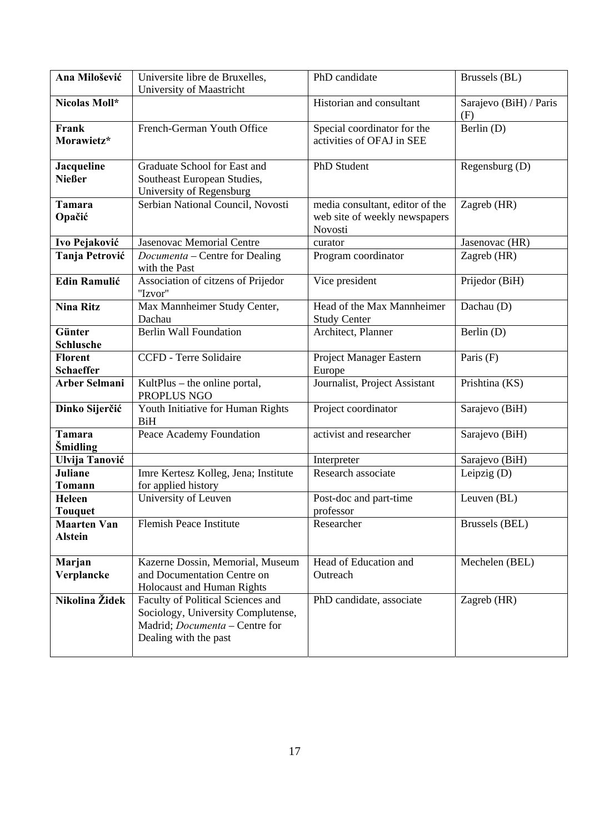| Ana Milošević                        | Universite libre de Bruxelles,<br>University of Maastricht                                                                                | PhD candidate                                                               | Brussels (BL)                 |
|--------------------------------------|-------------------------------------------------------------------------------------------------------------------------------------------|-----------------------------------------------------------------------------|-------------------------------|
| Nicolas Moll*                        |                                                                                                                                           | Historian and consultant                                                    | Sarajevo (BiH) / Paris<br>(F) |
| Frank<br>Morawietz*                  | French-German Youth Office                                                                                                                | Special coordinator for the<br>activities of OFAJ in SEE                    | Berlin (D)                    |
| Jacqueline<br><b>Nießer</b>          | Graduate School for East and<br>Southeast European Studies,<br>University of Regensburg                                                   | PhD Student                                                                 | Regensburg (D)                |
| <b>Tamara</b><br>Opačić              | Serbian National Council, Novosti                                                                                                         | media consultant, editor of the<br>web site of weekly newspapers<br>Novosti | Zagreb (HR)                   |
| Ivo Pejaković                        | Jasenovac Memorial Centre                                                                                                                 | curator                                                                     | Jasenovac (HR)                |
| Tanja Petrović                       | Documenta - Centre for Dealing<br>with the Past                                                                                           | Program coordinator                                                         | Zagreb (HR)                   |
| <b>Edin Ramulić</b>                  | Association of citzens of Prijedor<br>"Izvor"                                                                                             | Vice president                                                              | Prijedor (BiH)                |
| <b>Nina Ritz</b>                     | Max Mannheimer Study Center,<br>Dachau                                                                                                    | Head of the Max Mannheimer<br><b>Study Center</b>                           | Dachau (D)                    |
| Günter<br>Schlusche                  | <b>Berlin Wall Foundation</b>                                                                                                             | Architect, Planner                                                          | Berlin (D)                    |
| <b>Florent</b><br><b>Schaeffer</b>   | <b>CCFD</b> - Terre Solidaire                                                                                                             | Project Manager Eastern<br>Europe                                           | Paris $(F)$                   |
| <b>Arber Selmani</b>                 | KultPlus – the online portal,<br>PROPLUS NGO                                                                                              | Journalist, Project Assistant                                               | Prishtina (KS)                |
| Dinko Sijerčić                       | Youth Initiative for Human Rights<br><b>BiH</b>                                                                                           | Project coordinator                                                         | Sarajevo (BiH)                |
| <b>Tamara</b><br>Šmidling            | Peace Academy Foundation                                                                                                                  | activist and researcher                                                     | Sarajevo (BiH)                |
| Ulvija Tanović                       |                                                                                                                                           | Interpreter                                                                 | Sarajevo (BiH)                |
| <b>Juliane</b><br><b>Tomann</b>      | Imre Kertesz Kolleg, Jena; Institute<br>for applied history                                                                               | Research associate                                                          | Leipzig $(D)$                 |
| Heleen<br><b>Touquet</b>             | University of Leuven                                                                                                                      | Post-doc and part-time<br>professor                                         | Leuven $(BL)$                 |
| <b>Maarten Van</b><br><b>Alstein</b> | Flemish Peace Institute                                                                                                                   | Researcher                                                                  | Brussels (BEL)                |
| Marjan<br>Verplancke                 | Kazerne Dossin, Memorial, Museum<br>and Documentation Centre on<br>Holocaust and Human Rights                                             | Head of Education and<br>Outreach                                           | Mechelen (BEL)                |
| Nikolina Židek                       | Faculty of Political Sciences and<br>Sociology, University Complutense,<br>Madrid; <i>Documenta</i> – Centre for<br>Dealing with the past | PhD candidate, associate                                                    | Zagreb (HR)                   |